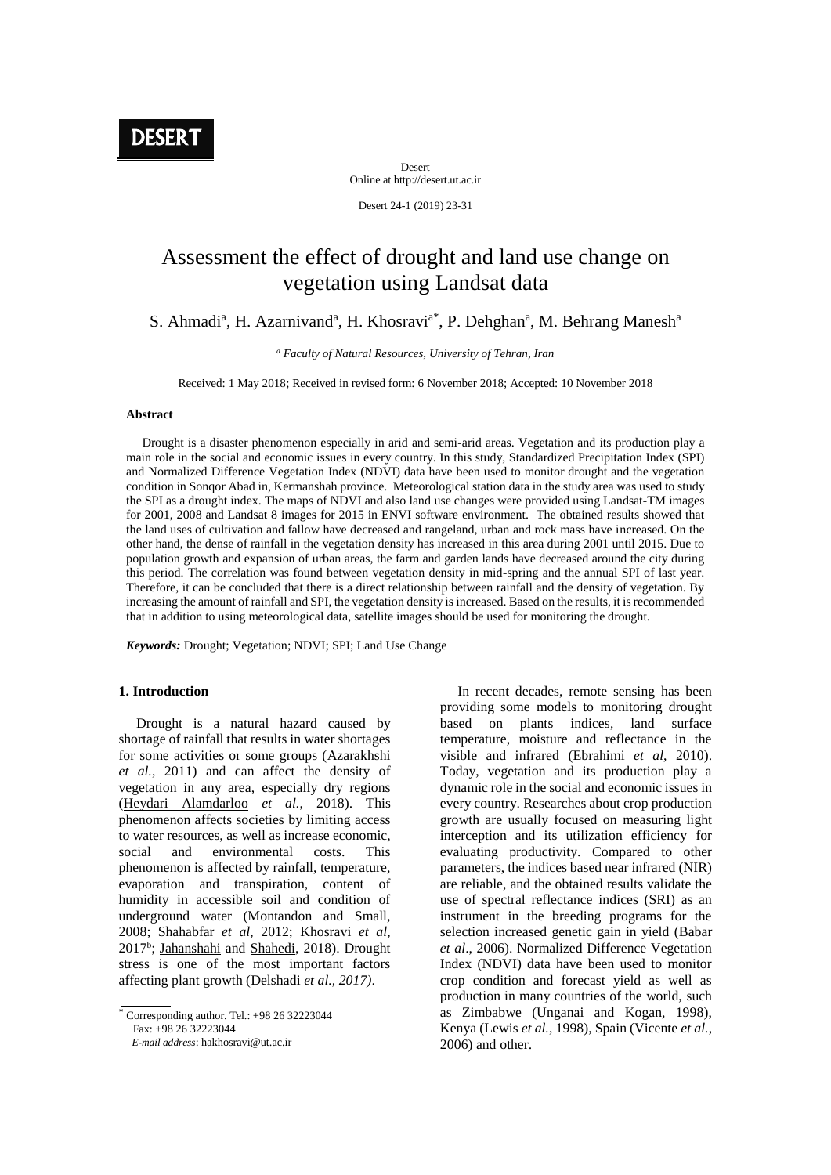Desert Online at http://desert.ut.ac.ir

Desert 24-1 (2019) 23-31

# Assessment the effect of drought and land use change on vegetation using Landsat data

S. Ahmadi<sup>a</sup>, H. Azarnivand<sup>a</sup>, H. Khosravi<sup>a\*</sup>, P. Dehghan<sup>a</sup>, M. Behrang Manesh<sup>a</sup>

*<sup>a</sup> Faculty of Natural Resources, University of Tehran, Iran*

Received: 1 May 2018; Received in revised form: 6 November 2018; Accepted: 10 November 2018

#### **Abstract**

 Drought is a disaster phenomenon especially in arid and semi-arid areas. Vegetation and its production play a main role in the social and economic issues in every country. In this study, Standardized Precipitation Index (SPI) and Normalized Difference Vegetation Index (NDVI) data have been used to monitor drought and the vegetation condition in Sonqor Abad in, Kermanshah province. Meteorological station data in the study area was used to study the SPI as a drought index. The maps of NDVI and also land use changes were provided using Landsat-TM images for 2001, 2008 and Landsat 8 images for 2015 in ENVI software environment. The obtained results showed that the land uses of cultivation and fallow have decreased and rangeland, urban and rock mass have increased. On the other hand, the dense of rainfall in the vegetation density has increased in this area during 2001 until 2015. Due to population growth and expansion of urban areas, the farm and garden lands have decreased around the city during this period. The correlation was found between vegetation density in mid-spring and the annual SPI of last year. Therefore, it can be concluded that there is a direct relationship between rainfall and the density of vegetation. By increasing the amount of rainfall and SPI, the vegetation density is increased. Based on the results, it is recommended that in addition to using meteorological data, satellite images should be used for monitoring the drought.

*Keywords:* Drought; Vegetation; NDVI; SPI; Land Use Change

#### **1. Introduction**

 Drought is a natural hazard caused by shortage of rainfall that results in water shortages for some activities or some groups (Azarakhshi *et al.*, 2011) and can affect the density of vegetation in any area, especially dry regions (Heydari Alamdarloo *et al.*, 2018). This phenomenon affects societies by limiting access to water resources, as well as increase economic, social and environmental costs. This phenomenon is affected by rainfall, temperature, evaporation and transpiration, content of humidity in accessible soil and condition of underground water (Montandon and Small, 2008; Shahabfar *et al*, 2012; Khosravi *et al*, 2017<sup>b</sup>; Jahanshahi and Shahedi, 2018). Drought stress is one of the most important factors affecting plant growth (Delshadi *et al., 2017)*.

 $\overline{\overline{C}$  Corresponding author. Tel.: +98 26 32223044

Fax: +98 26 32223044

 *E-mail address*: hakhosravi@ut.ac.ir

 In recent decades, remote sensing has been providing some models to monitoring drought based on plants indices, land surface temperature, moisture and reflectance in the visible and infrared (Ebrahimi *et al*, 2010). Today, vegetation and its production play a dynamic role in the social and economic issues in every country. Researches about crop production growth are usually focused on measuring light interception and its utilization efficiency for evaluating productivity. Compared to other parameters, the indices based near infrared (NIR) are reliable, and the obtained results validate the use of spectral reflectance indices (SRI) as an instrument in the breeding programs for the selection increased genetic gain in yield (Babar *et al*., 2006). Normalized Difference Vegetation Index (NDVI) data have been used to monitor crop condition and forecast yield as well as production in many countries of the world, such as Zimbabwe (Unganai and Kogan, 1998), Kenya (Lewis *et al.*, 1998), Spain (Vicente *et al.*, 2006) and other.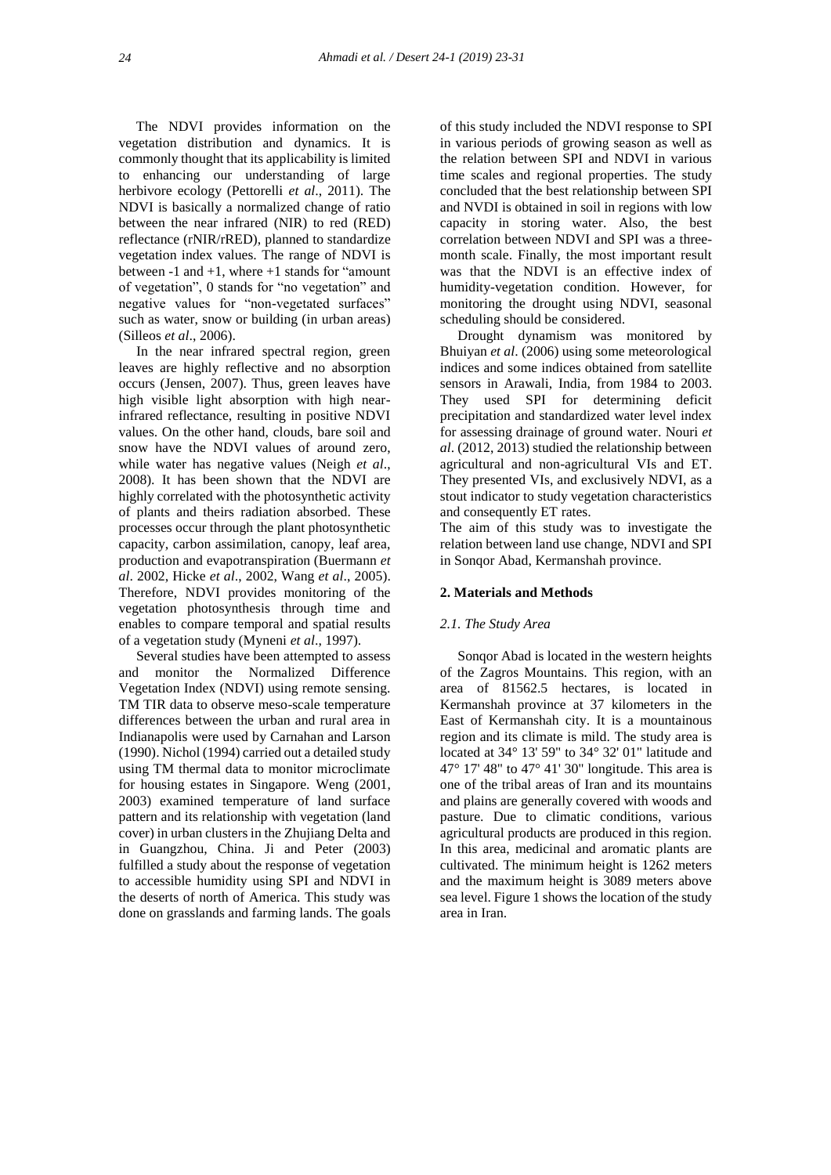The NDVI provides information on the vegetation distribution and dynamics. It is commonly thought that its applicability is limited to enhancing our understanding of large herbivore ecology (Pettorelli *et al*., 2011). The NDVI is basically a normalized change of ratio between the near infrared (NIR) to red (RED) reflectance (rNIR/rRED), planned to standardize vegetation index values. The range of NDVI is between -1 and +1, where +1 stands for "amount of vegetation", 0 stands for "no vegetation" and negative values for "non-vegetated surfaces" such as water, snow or building (in urban areas) (Silleos *et al*., 2006).

 In the near infrared spectral region, green leaves are highly reflective and no absorption occurs (Jensen, 2007). Thus, green leaves have high visible light absorption with high nearinfrared reflectance, resulting in positive NDVI values. On the other hand, clouds, bare soil and snow have the NDVI values of around zero, while water has negative values (Neigh *et al*., 2008). It has been shown that the NDVI are highly correlated with the photosynthetic activity of plants and theirs radiation absorbed. These processes occur through the plant photosynthetic capacity, carbon assimilation, canopy, leaf area, production and evapotranspiration (Buermann *et al*. 2002, Hicke *et al*., 2002, Wang *et al*., 2005). Therefore, NDVI provides monitoring of the vegetation photosynthesis through time and enables to compare temporal and spatial results of a vegetation study (Myneni *et al*., 1997).

 Several studies have been attempted to assess and monitor the Normalized Difference Vegetation Index (NDVI) using remote sensing. TM TIR data to observe meso-scale temperature differences between the urban and rural area in Indianapolis were used by Carnahan and Larson (1990). Nichol (1994) carried out a detailed study using TM thermal data to monitor microclimate for housing estates in Singapore. Weng (2001, 2003) examined temperature of land surface pattern and its relationship with vegetation (land cover) in urban clusters in the Zhujiang Delta and in Guangzhou, China. Ji and Peter (2003) fulfilled a study about the response of vegetation to accessible humidity using SPI and NDVI in the deserts of north of America. This study was done on grasslands and farming lands. The goals

of this study included the NDVI response to SPI in various periods of growing season as well as the relation between SPI and NDVI in various time scales and regional properties. The study concluded that the best relationship between SPI and NVDI is obtained in soil in regions with low capacity in storing water. Also, the best correlation between NDVI and SPI was a threemonth scale. Finally, the most important result was that the NDVI is an effective index of humidity-vegetation condition. However, for monitoring the drought using NDVI, seasonal scheduling should be considered.

 Drought dynamism was monitored by Bhuiyan *et al*. (2006) using some meteorological indices and some indices obtained from satellite sensors in Arawali, India, from 1984 to 2003. They used SPI for determining deficit precipitation and standardized water level index for assessing drainage of ground water. Nouri *et al*. (2012, 2013) studied the relationship between agricultural and non-agricultural VIs and ET. They presented VIs, and exclusively NDVI, as a stout indicator to study vegetation characteristics and consequently ET rates.

The aim of this study was to investigate the relation between land use change, NDVI and SPI in Sonqor Abad, Kermanshah province.

## **2. Materials and Methods**

#### *2.1. The Study Area*

 Sonqor Abad is located in the western heights of the Zagros Mountains. This region, with an area of 81562.5 hectares, is located in Kermanshah province at 37 kilometers in the East of Kermanshah city. It is a mountainous region and its climate is mild. The study area is located at 34° 13' 59" to 34° 32' 01" latitude and 47° 17′ 48″ to 47° 41′ 30″ longitude. This area is one of the tribal areas of Iran and its mountains and plains are generally covered with woods and pasture. Due to climatic conditions, various agricultural products are produced in this region. In this area, medicinal and aromatic plants are cultivated. The minimum height is 1262 meters and the maximum height is 3089 meters above sea level. Figure 1 shows the location of the study area in Iran.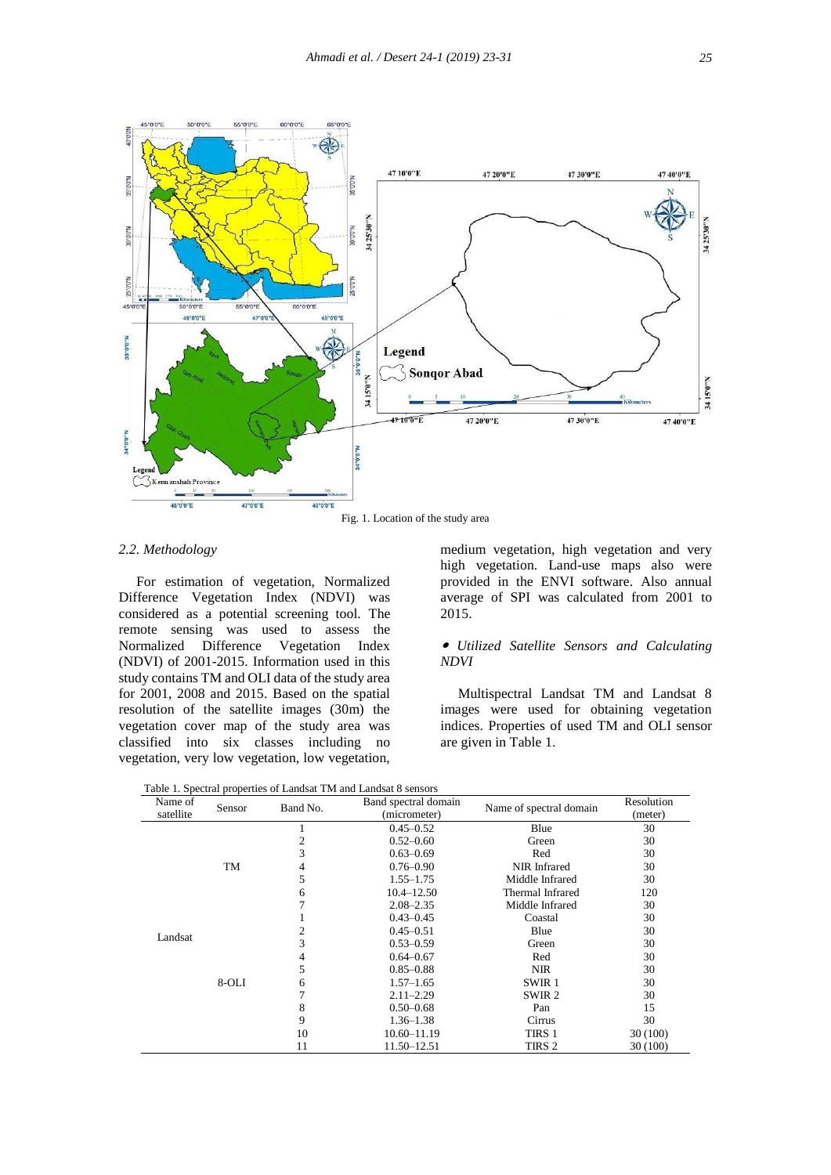

Fig. 1. Location of the study area

## *2.2. Methodology*

 For estimation of vegetation, Normalized Difference Vegetation Index (NDVI) was considered as a potential screening tool. The remote sensing was used to assess the Normalized Difference Vegetation Index (NDVI) of 2001-2015. Information used in this study contains TM and OLI data of the study area for 2001, 2008 and 2015. Based on the spatial resolution of the satellite images (30m) the vegetation cover map of the study area was classified into six classes including no vegetation, very low vegetation, low vegetation,

medium vegetation, high vegetation and very high vegetation. Land-use maps also were provided in the ENVI software. Also annual average of SPI was calculated from 2001 to 2015.

### *Utilized Satellite Sensors and Calculating NDVI*

 Multispectral Landsat TM and Landsat 8 images were used for obtaining vegetation indices. Properties of used TM and OLI sensor are given in Table 1.

| Name of<br>satellite | Sensor | Band No.            | Band spectral domain<br>(micrometer) | Name of spectral domain | Resolution<br>(meter) |
|----------------------|--------|---------------------|--------------------------------------|-------------------------|-----------------------|
|                      |        |                     | $0.45 - 0.52$                        | Blue                    | 30                    |
|                      |        | 2                   | $0.52 - 0.60$                        | Green                   | 30                    |
| Landsat              |        | 3                   | $0.63 - 0.69$                        | Red                     | 30                    |
|                      | TM     | 4                   | $0.76 - 0.90$                        | NIR Infrared            | 30                    |
|                      |        | 5                   | $1.55 - 1.75$                        | Middle Infrared         | 30                    |
|                      |        | $10.4 - 12.50$<br>6 |                                      | Thermal Infrared        | 120                   |
|                      |        |                     | $2.08 - 2.35$                        | Middle Infrared         | 30                    |
|                      |        |                     | $0.43 - 0.45$<br>Coastal             |                         | 30                    |
|                      |        | 2                   | $0.45 - 0.51$                        | Blue                    | 30                    |
|                      |        | 3                   | $0.53 - 0.59$                        | Green                   | 30                    |
|                      |        | 4                   | $0.64 - 0.67$                        | Red                     | 30                    |
|                      |        | 5                   | $0.85 - 0.88$                        | <b>NIR</b>              | 30                    |
|                      | 8-OLI  | 6                   | $1.57 - 1.65$                        | SWIR <sub>1</sub>       | 30                    |
|                      |        |                     | $2.11 - 2.29$                        | SWIR <sub>2</sub>       | 30                    |
|                      |        | 8                   | $0.50 - 0.68$                        | Pan                     | 15                    |
|                      |        | 9                   | $1.36 - 1.38$                        | Cirrus                  | 30                    |
|                      |        | 10                  | $10.60 - 11.19$                      | TIRS 1                  | 30(100)               |
|                      |        | 11                  | 11.50-12.51                          | TIRS 2                  | 30 (100)              |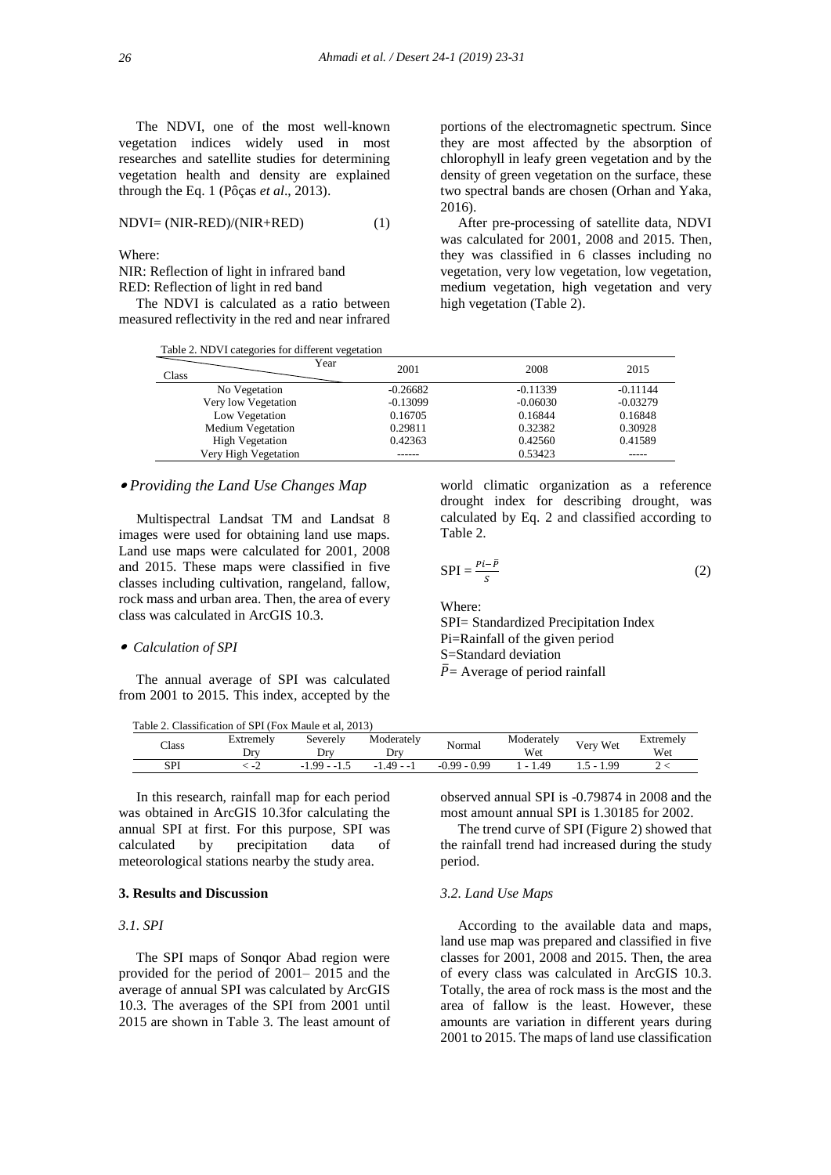The NDVI, one of the most well-known vegetation indices widely used in most researches and satellite studies for determining vegetation health and density are explained through the Eq. 1 (Pôças *et al*., 2013).

$$
NDVI = (NIR-RED)/(NIR+RED)
$$
 (1)

Where:

NIR: Reflection of light in infrared band RED: Reflection of light in red band

 The NDVI is calculated as a ratio between measured reflectivity in the red and near infrared

|  | Table 2. NDVI categories for different vegetation |  |
|--|---------------------------------------------------|--|
|  |                                                   |  |

portions of the electromagnetic spectrum. Since they are most affected by the absorption of chlorophyll in leafy green vegetation and by the density of green vegetation on the surface, these two spectral bands are chosen (Orhan and Yaka, 2016).

 After pre-processing of satellite data, NDVI was calculated for 2001, 2008 and 2015. Then, they was classified in 6 classes including no vegetation, very low vegetation, low vegetation, medium vegetation, high vegetation and very high vegetation (Table 2).

world climatic organization as a reference drought index for describing drought, was calculated by Eq. 2 and classified according to

SPI= Standardized Precipitation Index Pi=Rainfall of the given period

 $(2)$ 

| Year<br>Class          | 2001       | 2008       | 2015       |
|------------------------|------------|------------|------------|
| No Vegetation          | $-0.26682$ | $-0.11339$ | $-0.11144$ |
| Very low Vegetation    | $-0.13099$ | $-0.06030$ | $-0.03279$ |
| Low Vegetation         | 0.16705    | 0.16844    | 0.16848    |
| Medium Vegetation      | 0.29811    | 0.32382    | 0.30928    |
| <b>High Vegetation</b> | 0.42363    | 0.42560    | 0.41589    |
| Very High Vegetation   |            | 0.53423    |            |

Table 2.

 $SPI = \frac{Pi - \bar{P}}{S}$ 

S=Standard deviation  $\overline{P}$  = Average of period rainfall

Where:

## *Providing the Land Use Changes Map*

 Multispectral Landsat TM and Landsat 8 images were used for obtaining land use maps. Land use maps were calculated for 2001, 2008 and 2015. These maps were classified in five classes including cultivation, rangeland, fallow, rock mass and urban area. Then, the area of every class was calculated in ArcGIS 10.3.

#### *Calculation of SPI*

 The annual average of SPI was calculated from 2001 to 2015. This index, accepted by the

Table 2. Classification of SPI (Fox Maule et al, 2013)

| $\text{Class}$ | Extremely<br>Drv | Severely<br>$Dr^{v}$ | Moderatelv<br>Drv | Normal          | Moderately<br>Wet | Very Wet  | Extremely<br>Wet |
|----------------|------------------|----------------------|-------------------|-----------------|-------------------|-----------|------------------|
| SPI            | <b>_</b>         | -99<br>---<br>ن. 1   | $49 - 1$          | $-0.99$<br>0.99 | 4 <sup>c</sup>    | 1.99<br>. |                  |

 In this research, rainfall map for each period was obtained in ArcGIS 10.3for calculating the annual SPI at first. For this purpose, SPI was calculated by precipitation data of meteorological stations nearby the study area.

## **3. Results and Discussion**

## *3.1. SPI*

 The SPI maps of Sonqor Abad region were provided for the period of 2001– 2015 and the average of annual SPI was calculated by ArcGIS 10.3. The averages of the SPI from 2001 until 2015 are shown in Table 3. The least amount of observed annual SPI is -0.79874 in 2008 and the most amount annual SPI is 1.30185 for 2002.

 The trend curve of SPI (Figure 2) showed that the rainfall trend had increased during the study period.

### *3.2. Land Use Maps*

 According to the available data and maps, land use map was prepared and classified in five classes for 2001, 2008 and 2015. Then, the area of every class was calculated in ArcGIS 10.3. Totally, the area of rock mass is the most and the area of fallow is the least. However, these amounts are variation in different years during 2001 to 2015. The maps of land use classification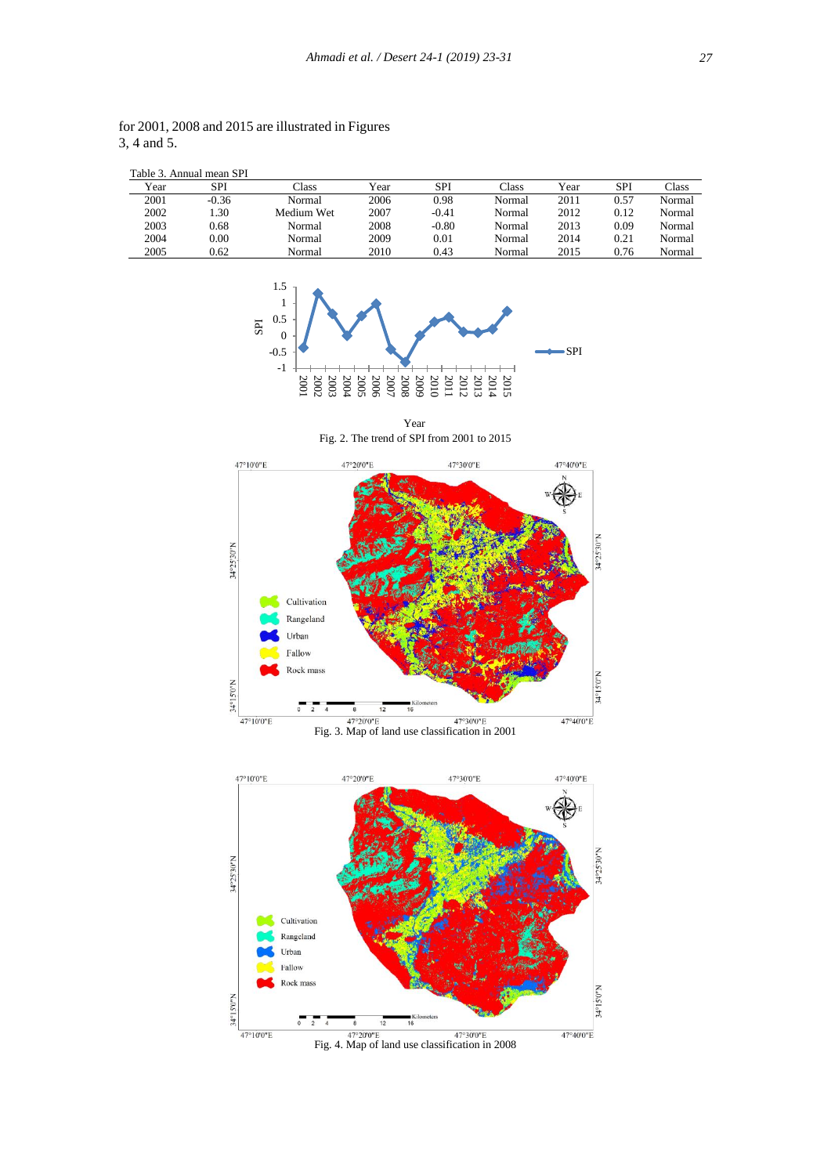|      | Table 3. Annual mean SPI |            |      |         |        |      |            |        |
|------|--------------------------|------------|------|---------|--------|------|------------|--------|
| Year | SPI                      | Class      | Year | SPI     | Class  | Year | <b>SPI</b> | Class  |
| 2001 | $-0.36$                  | Normal     | 2006 | 0.98    | Normal | 2011 | 0.57       | Normal |
| 2002 | l.30                     | Medium Wet | 2007 | $-0.41$ | Normal | 2012 | 0.12       | Normal |
| 2003 | 0.68                     | Normal     | 2008 | $-0.80$ | Normal | 2013 | 0.09       | Normal |
| 2004 | 0.00                     | Normal     | 2009 | 0.01    | Normal | 2014 | 0.21       | Normal |
| 2005 | 0.62                     | Normal     | 2010 | 0.43    | Normal | 2015 | 0.76       | Normal |

for 2001, 2008 and 2015 are illustrated in Figures 3, 4 and 5.



Fig. 2. The trend of SPI from 2001 to 2015 Year



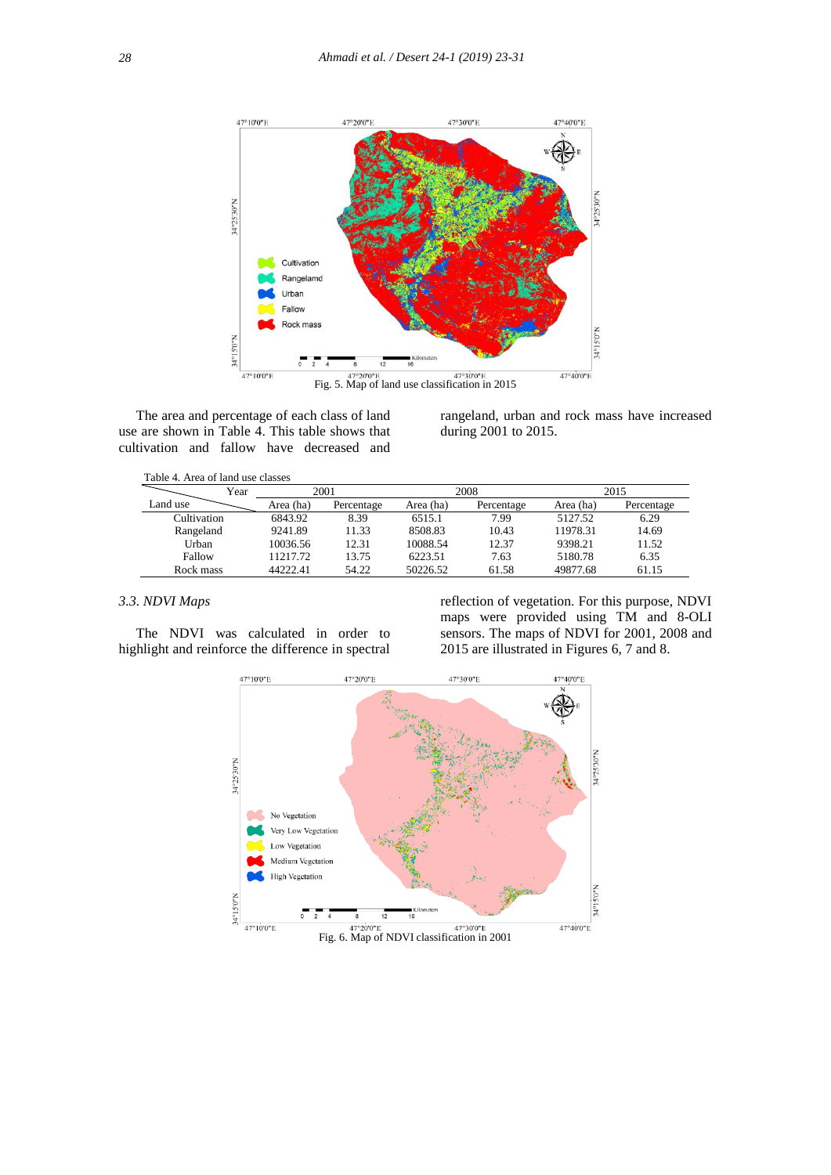

 The area and percentage of each class of land use are shown in Table 4. This table shows that cultivation and fallow have decreased and

rangeland, urban and rock mass have increased during 2001 to 2015.

| Table 4. Area of land use classes |  |  |  |  |
|-----------------------------------|--|--|--|--|
|-----------------------------------|--|--|--|--|

| Year        | 2001      |            |           | 2008       | 2015      |            |  |
|-------------|-----------|------------|-----------|------------|-----------|------------|--|
| Land use    | Area (ha) | Percentage | Area (ha) | Percentage | Area (ha) | Percentage |  |
| Cultivation | 6843.92   | 8.39       | 6515.1    | 7.99       | 5127.52   | 6.29       |  |
| Rangeland   | 9241.89   | 11.33      | 8508.83   | 10.43      | 11978.31  | 14.69      |  |
| Urban       | 10036.56  | 12.31      | 10088.54  | 12.37      | 9398.21   | 11.52      |  |
| Fallow      | 11217.72  | 13.75      | 6223.51   | 7.63       | 5180.78   | 6.35       |  |
| Rock mass   | 44222.41  | 54.22      | 50226.52  | 61.58      | 49877.68  | 61.15      |  |

## *3.3. NDVI Maps*

 The NDVI was calculated in order to highlight and reinforce the difference in spectral

reflection of vegetation. For this purpose, NDVI maps were provided using TM and 8-OLI sensors. The maps of NDVI for 2001, 2008 and 2015 are illustrated in Figures 6, 7 and 8.

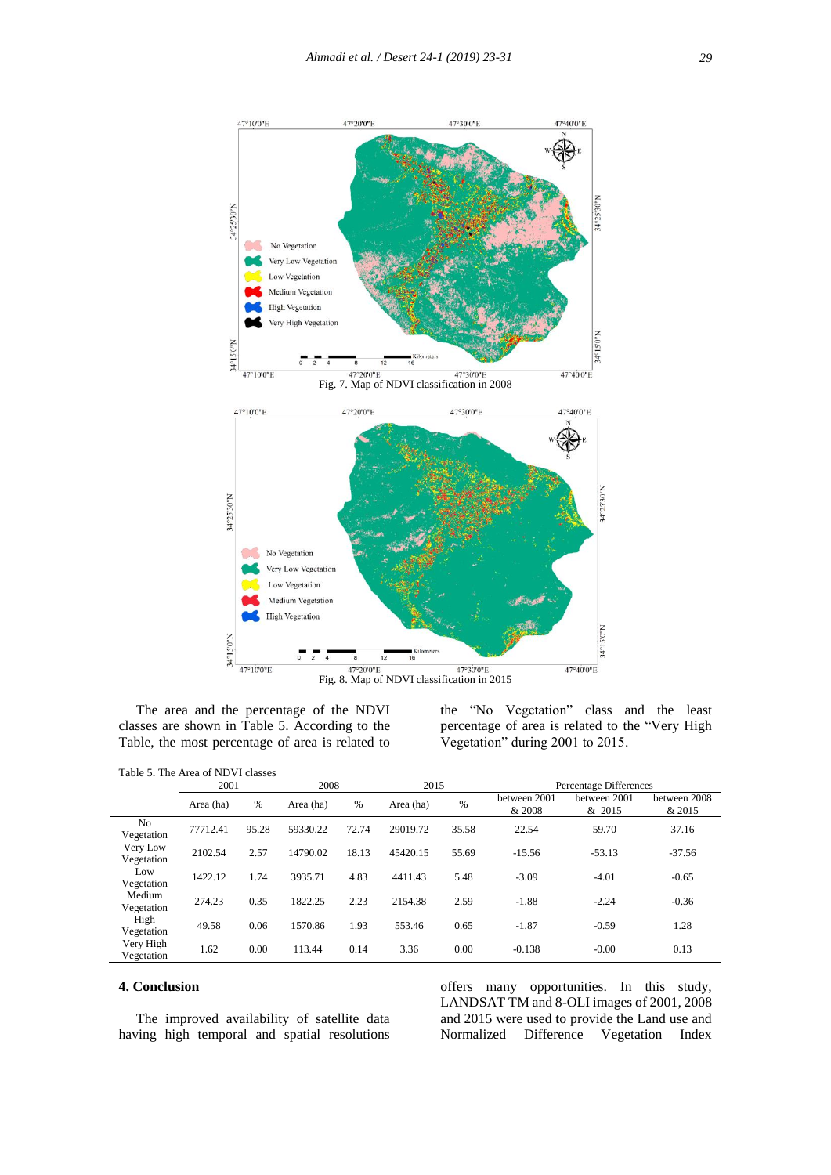

 The area and the percentage of the NDVI classes are shown in Table 5. According to the Table, the most percentage of area is related to

the "No Vegetation" class and the least percentage of area is related to the "Very High Vegetation" during 2001 to 2015.

|  | Table 5. The Area of NDVI classes |  |  |
|--|-----------------------------------|--|--|
|--|-----------------------------------|--|--|

|                              | 2001      |               | 2008      |       |           | 2015  |                        | Percentage Differences |                        |  |
|------------------------------|-----------|---------------|-----------|-------|-----------|-------|------------------------|------------------------|------------------------|--|
|                              | Area (ha) | $\frac{0}{6}$ | Area (ha) | %     | Area (ha) | %     | between 2001<br>& 2008 | between 2001<br>& 2015 | between 2008<br>& 2015 |  |
| N <sub>0</sub><br>Vegetation | 77712.41  | 95.28         | 59330.22  | 72.74 | 29019.72  | 35.58 | 22.54                  | 59.70                  | 37.16                  |  |
| Very Low<br>Vegetation       | 2102.54   | 2.57          | 14790.02  | 18.13 | 45420.15  | 55.69 | $-15.56$               | $-53.13$               | $-37.56$               |  |
| Low<br>Vegetation            | 1422.12   | 1.74          | 3935.71   | 4.83  | 4411.43   | 5.48  | $-3.09$                | $-4.01$                | $-0.65$                |  |
| Medium<br>Vegetation         | 274.23    | 0.35          | 1822.25   | 2.23  | 2154.38   | 2.59  | $-1.88$                | $-2.24$                | $-0.36$                |  |
| High<br>Vegetation           | 49.58     | 0.06          | 1570.86   | 1.93  | 553.46    | 0.65  | $-1.87$                | $-0.59$                | 1.28                   |  |
| Very High<br>Vegetation      | 1.62      | 0.00          | 113.44    | 0.14  | 3.36      | 0.00  | $-0.138$               | $-0.00$                | 0.13                   |  |

## **4. Conclusion**

 The improved availability of satellite data having high temporal and spatial resolutions offers many opportunities. In this study, LANDSAT TM and 8-OLI images of 2001, 2008 and 2015 were used to provide the Land use and Normalized Difference Vegetation Index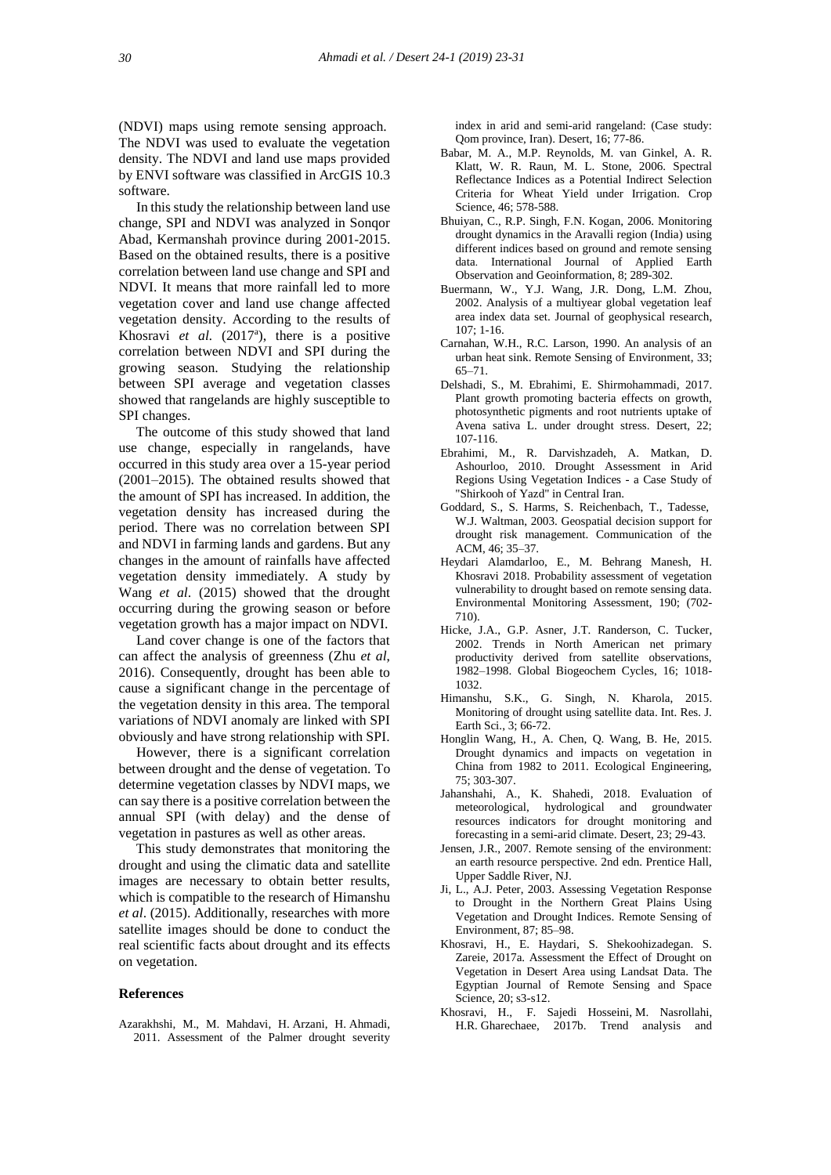(NDVI) maps using remote sensing approach. The NDVI was used to evaluate the vegetation density. The NDVI and land use maps provided by ENVI software was classified in ArcGIS 10.3 software.

 In this study the relationship between land use change, SPI and NDVI was analyzed in Sonqor Abad, Kermanshah province during 2001-2015. Based on the obtained results, there is a positive correlation between land use change and SPI and NDVI. It means that more rainfall led to more vegetation cover and land use change affected vegetation density. According to the results of Khosravi et al. (2017<sup>a</sup>), there is a positive correlation between NDVI and SPI during the growing season. Studying the relationship between SPI average and vegetation classes showed that rangelands are highly susceptible to SPI changes.

 The outcome of this study showed that land use change, especially in rangelands, have occurred in this study area over a 15-year period (2001–2015). The obtained results showed that the amount of SPI has increased. In addition, the vegetation density has increased during the period. There was no correlation between SPI and NDVI in farming lands and gardens. But any changes in the amount of rainfalls have affected vegetation density immediately. A study by Wang *et al*. (2015) showed that the drought occurring during the growing season or before vegetation growth has a major impact on NDVI.

 Land cover change is one of the factors that can affect the analysis of greenness (Zhu *et al*, 2016). Consequently, drought has been able to cause a significant change in the percentage of the vegetation density in this area. The temporal variations of NDVI anomaly are linked with SPI obviously and have strong relationship with SPI.

 However, there is a significant correlation between drought and the dense of vegetation. To determine vegetation classes by NDVI maps, we can say there is a positive correlation between the annual SPI (with delay) and the dense of vegetation in pastures as well as other areas.

 This study demonstrates that monitoring the drought and using the climatic data and satellite images are necessary to obtain better results, which is compatible to the research of Himanshu *et al*. (2015). Additionally, researches with more satellite images should be done to conduct the real scientific facts about drought and its effects on vegetation.

#### **References**

Azarakhshi, M., M. Mahdavi, H. Arzani, H. Ahmadi, 2011. Assessment of the Palmer drought severity  index in arid and semi-arid rangeland: (Case study: Qom province, Iran). Desert, 16; 77-86.

- Babar, M. A., M.P. Reynolds, M. van Ginkel, A. R. Klatt, W. R. Raun, M. L. Stone, 2006. Spectral Reflectance Indices as a Potential Indirect Selection Criteria for Wheat Yield under Irrigation. Crop Science, 46; 578-588.
- Bhuiyan, C., R.P. Singh, F.N. Kogan, 2006. Monitoring drought dynamics in the Aravalli region (India) using different indices based on ground and remote sensing data. International Journal of Applied Earth Observation and Geoinformation, 8; 289-302.
- Buermann, W., Y.J. Wang, J.R. Dong, L.M. Zhou, 2002. Analysis of a multiyear global vegetation leaf area index data set. Journal of geophysical research, 107; 1-16.
- Carnahan, W.H., R.C. Larson, 1990. An analysis of an urban heat sink. Remote Sensing of Environment, 33; 65–71.
- Delshadi, S., M. Ebrahimi, E. Shirmohammadi, 2017. Plant growth promoting bacteria effects on growth, photosynthetic pigments and root nutrients uptake of Avena sativa L. under drought stress. Desert, 22; 107-116.
- Ebrahimi, M., R. Darvishzadeh, A. Matkan, D. Ashourloo, 2010. Drought Assessment in Arid Regions Using Vegetation Indices - a Case Study of "Shirkooh of Yazd" in Central Iran.
- Goddard, S., S. Harms, S. Reichenbach, T., Tadesse, W.J. Waltman, 2003. Geospatial decision support for drought risk management. Communication of the ACM, 46; 35–37.
- Heydari Alamdarloo, E., M. Behrang Manesh, H. Khosravi 2018. Probability assessment of vegetation vulnerability to drought based on remote sensing data. Environmental Monitoring Assessment, 190; (702- 710).
- Hicke, J.A., G.P. Asner, J.T. Randerson, C. Tucker, 2002. Trends in North American net primary productivity derived from satellite observations, 1982–1998. Global Biogeochem Cycles, 16; 1018- 1032.
- Himanshu, S.K., G. Singh, N. Kharola, 2015. Monitoring of drought using satellite data. Int. Res. J. Earth Sci., 3; 66-72.
- Honglin Wang, H., A. Chen, Q. Wang, B. He, 2015. Drought dynamics and impacts on vegetation in China from 1982 to 2011. Ecological Engineering, 75; 303-307.
- Jahanshahi, A., K. Shahedi, 2018. Evaluation of meteorological, hydrological and groundwater resources indicators for drought monitoring and forecasting in a semi-arid climate. Desert, 23; 29-43.
- Jensen, J.R., 2007. Remote sensing of the environment: an earth resource perspective. 2nd edn. Prentice Hall, Upper Saddle River, NJ.
- Ji, L., A.J. Peter, 2003. Assessing Vegetation Response to Drought in the Northern Great Plains Using Vegetation and Drought Indices. Remote Sensing of Environment, 87; 85–98.
- Khosravi, H., E. Haydari, S. Shekoohizadegan. S. Zareie, 2017a. Assessment the Effect of Drought on Vegetation in Desert Area using Landsat Data. The Egyptian Journal of Remote Sensing and Space Science, 20; s3-s12.
- Khosravi, H., F. Sajedi Hosseini, M. Nasrollahi, H.R. Gharechaee, 2017b. Trend analysis and